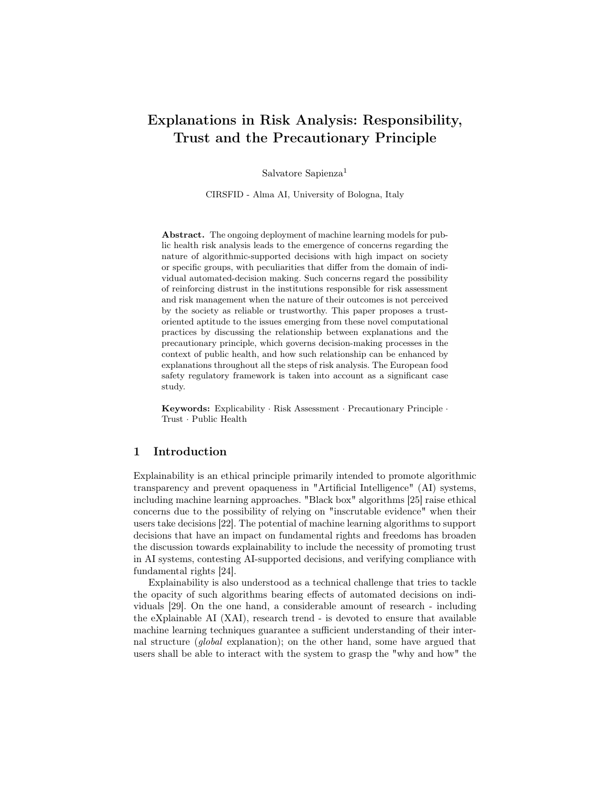# Explanations in Risk Analysis: Responsibility, Trust and the Precautionary Principle

Salvatore Sapienza<sup>1</sup>

CIRSFID - Alma AI, University of Bologna, Italy

Abstract. The ongoing deployment of machine learning models for public health risk analysis leads to the emergence of concerns regarding the nature of algorithmic-supported decisions with high impact on society or specific groups, with peculiarities that differ from the domain of individual automated-decision making. Such concerns regard the possibility of reinforcing distrust in the institutions responsible for risk assessment and risk management when the nature of their outcomes is not perceived by the society as reliable or trustworthy. This paper proposes a trustoriented aptitude to the issues emerging from these novel computational practices by discussing the relationship between explanations and the precautionary principle, which governs decision-making processes in the context of public health, and how such relationship can be enhanced by explanations throughout all the steps of risk analysis. The European food safety regulatory framework is taken into account as a significant case study.

Keywords: Explicability · Risk Assessment · Precautionary Principle · Trust · Public Health

# 1 Introduction

Explainability is an ethical principle primarily intended to promote algorithmic transparency and prevent opaqueness in "Artificial Intelligence" (AI) systems, including machine learning approaches. "Black box" algorithms [25] raise ethical concerns due to the possibility of relying on "inscrutable evidence" when their users take decisions [22]. The potential of machine learning algorithms to support decisions that have an impact on fundamental rights and freedoms has broaden the discussion towards explainability to include the necessity of promoting trust in AI systems, contesting AI-supported decisions, and verifying compliance with fundamental rights [24].

Explainability is also understood as a technical challenge that tries to tackle the opacity of such algorithms bearing effects of automated decisions on individuals [29]. On the one hand, a considerable amount of research - including the eXplainable AI (XAI), research trend - is devoted to ensure that available machine learning techniques guarantee a sufficient understanding of their internal structure (global explanation); on the other hand, some have argued that users shall be able to interact with the system to grasp the "why and how" the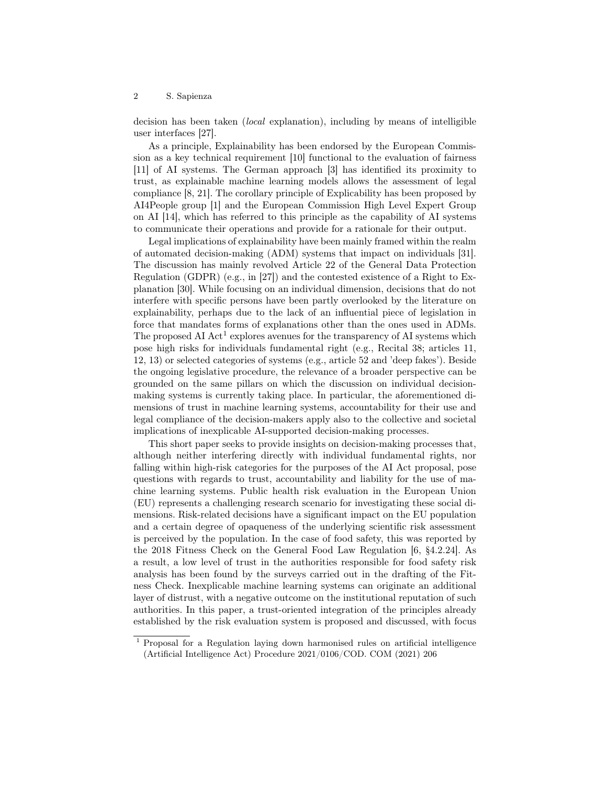decision has been taken (local explanation), including by means of intelligible user interfaces [27].

As a principle, Explainability has been endorsed by the European Commission as a key technical requirement [10] functional to the evaluation of fairness [11] of AI systems. The German approach [3] has identified its proximity to trust, as explainable machine learning models allows the assessment of legal compliance [8, 21]. The corollary principle of Explicability has been proposed by AI4People group [1] and the European Commission High Level Expert Group on AI [14], which has referred to this principle as the capability of AI systems to communicate their operations and provide for a rationale for their output.

Legal implications of explainability have been mainly framed within the realm of automated decision-making (ADM) systems that impact on individuals [31]. The discussion has mainly revolved Article 22 of the General Data Protection Regulation (GDPR) (e.g., in [27]) and the contested existence of a Right to Explanation [30]. While focusing on an individual dimension, decisions that do not interfere with specific persons have been partly overlooked by the literature on explainability, perhaps due to the lack of an influential piece of legislation in force that mandates forms of explanations other than the ones used in ADMs. The proposed AI  $Act^1$  explores avenues for the transparency of AI systems which pose high risks for individuals fundamental right (e.g., Recital 38; articles 11, 12, 13) or selected categories of systems (e.g., article 52 and 'deep fakes'). Beside the ongoing legislative procedure, the relevance of a broader perspective can be grounded on the same pillars on which the discussion on individual decisionmaking systems is currently taking place. In particular, the aforementioned dimensions of trust in machine learning systems, accountability for their use and legal compliance of the decision-makers apply also to the collective and societal implications of inexplicable AI-supported decision-making processes.

This short paper seeks to provide insights on decision-making processes that, although neither interfering directly with individual fundamental rights, nor falling within high-risk categories for the purposes of the AI Act proposal, pose questions with regards to trust, accountability and liability for the use of machine learning systems. Public health risk evaluation in the European Union (EU) represents a challenging research scenario for investigating these social dimensions. Risk-related decisions have a significant impact on the EU population and a certain degree of opaqueness of the underlying scientific risk assessment is perceived by the population. In the case of food safety, this was reported by the 2018 Fitness Check on the General Food Law Regulation [6, §4.2.24]. As a result, a low level of trust in the authorities responsible for food safety risk analysis has been found by the surveys carried out in the drafting of the Fitness Check. Inexplicable machine learning systems can originate an additional layer of distrust, with a negative outcome on the institutional reputation of such authorities. In this paper, a trust-oriented integration of the principles already established by the risk evaluation system is proposed and discussed, with focus

<sup>1</sup> Proposal for a Regulation laying down harmonised rules on artificial intelligence (Artificial Intelligence Act) Procedure 2021/0106/COD. COM (2021) 206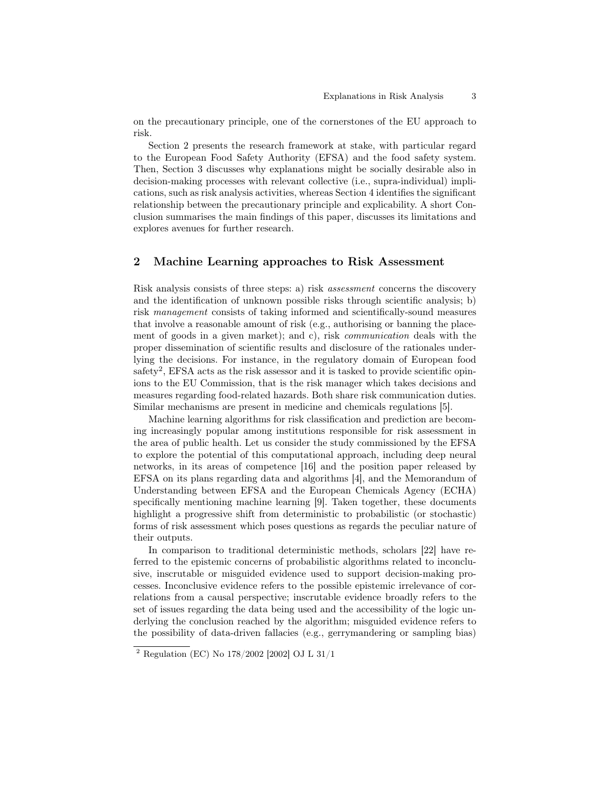on the precautionary principle, one of the cornerstones of the EU approach to risk.

Section 2 presents the research framework at stake, with particular regard to the European Food Safety Authority (EFSA) and the food safety system. Then, Section 3 discusses why explanations might be socially desirable also in decision-making processes with relevant collective (i.e., supra-individual) implications, such as risk analysis activities, whereas Section 4 identifies the significant relationship between the precautionary principle and explicability. A short Conclusion summarises the main findings of this paper, discusses its limitations and explores avenues for further research.

# 2 Machine Learning approaches to Risk Assessment

Risk analysis consists of three steps: a) risk assessment concerns the discovery and the identification of unknown possible risks through scientific analysis; b) risk management consists of taking informed and scientifically-sound measures that involve a reasonable amount of risk (e.g., authorising or banning the placement of goods in a given market); and c), risk communication deals with the proper dissemination of scientific results and disclosure of the rationales underlying the decisions. For instance, in the regulatory domain of European food safety<sup>2</sup>, EFSA acts as the risk assessor and it is tasked to provide scientific opinions to the EU Commission, that is the risk manager which takes decisions and measures regarding food-related hazards. Both share risk communication duties. Similar mechanisms are present in medicine and chemicals regulations [5].

Machine learning algorithms for risk classification and prediction are becoming increasingly popular among institutions responsible for risk assessment in the area of public health. Let us consider the study commissioned by the EFSA to explore the potential of this computational approach, including deep neural networks, in its areas of competence [16] and the position paper released by EFSA on its plans regarding data and algorithms [4], and the Memorandum of Understanding between EFSA and the European Chemicals Agency (ECHA) specifically mentioning machine learning [9]. Taken together, these documents highlight a progressive shift from deterministic to probabilistic (or stochastic) forms of risk assessment which poses questions as regards the peculiar nature of their outputs.

In comparison to traditional deterministic methods, scholars [22] have referred to the epistemic concerns of probabilistic algorithms related to inconclusive, inscrutable or misguided evidence used to support decision-making processes. Inconclusive evidence refers to the possible epistemic irrelevance of correlations from a causal perspective; inscrutable evidence broadly refers to the set of issues regarding the data being used and the accessibility of the logic underlying the conclusion reached by the algorithm; misguided evidence refers to the possibility of data-driven fallacies (e.g., gerrymandering or sampling bias)

<sup>2</sup> Regulation (EC) No 178/2002 [2002] OJ L 31/1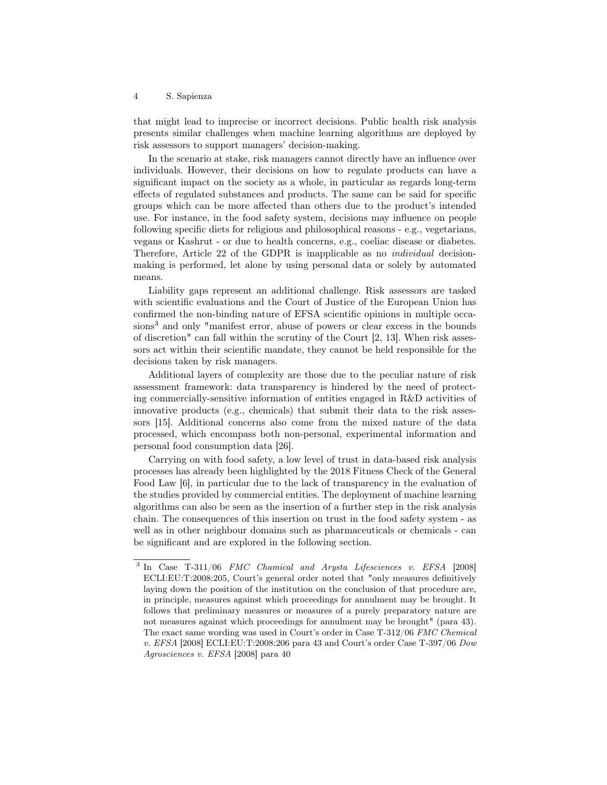that might lead to imprecise or incorrect decisions. Public health risk analysis presents similar challenges when machine learning algorithms are deployed by risk assessors to support managers' decision-making.

In the scenario at stake, risk managers cannot directly have an influence over individuals. However, their decisions on how to regulate products can have a significant impact on the society as a whole, in particular as regards long-term effects of regulated substances and products. The same can be said for specific groups which can be more affected than others due to the product's intended use. For instance, in the food safety system, decisions may influence on people following specific diets for religious and philosophical reasons - e.g., vegetarians, vegans or Kashrut - or due to health concerns, e.g., coeliac disease or diabetes. Therefore, Article 22 of the GDPR is inapplicable as no individual decisionmaking is performed, let alone by using personal data or solely by automated means.

Liability gaps represent an additional challenge. Risk assessors are tasked with scientific evaluations and the Court of Justice of the European Union has confirmed the non-binding nature of EFSA scientific opinions in multiple occasions<sup>3</sup> and only "manifest error, abuse of powers or clear excess in the bounds of discretion" can fall within the scrutiny of the Court [2, 13]. When risk assessors act within their scientific mandate, they cannot be held responsible for the decisions taken by risk managers.

Additional layers of complexity are those due to the peculiar nature of risk assessment framework: data transparency is hindered by the need of protecting commercially-sensitive information of entities engaged in R&D activities of innovative products (e.g., chemicals) that submit their data to the risk assessors [15]. Additional concerns also come from the mixed nature of the data processed, which encompass both non-personal, experimental information and personal food consumption data [26].

Carrying on with food safety, a low level of trust in data-based risk analysis processes has already been highlighted by the 2018 Fitness Check of the General Food Law [6], in particular due to the lack of transparency in the evaluation of the studies provided by commercial entities. The deployment of machine learning algorithms can also be seen as the insertion of a further step in the risk analysis chain. The consequences of this insertion on trust in the food safety system - as well as in other neighbour domains such as pharmaceuticals or chemicals - can be significant and are explored in the following section.

<sup>&</sup>lt;sup>3</sup> In Case T-311/06 FMC Chamical and Arysta Lifesciences v. EFSA [2008] ECLI:EU:T:2008:205, Court's general order noted that "only measures definitively laying down the position of the institution on the conclusion of that procedure are, in principle, measures against which proceedings for annulment may be brought. It follows that preliminary measures or measures of a purely preparatory nature are not measures against which proceedings for annulment may be brought" (para 43). The exact same wording was used in Court's order in Case T-312/06 FMC Chemical v. EFSA [2008] ECLI:EU:T:2008:206 para 43 and Court's order Case T-397/06 Dow Agrosciences v. EFSA [2008] para 40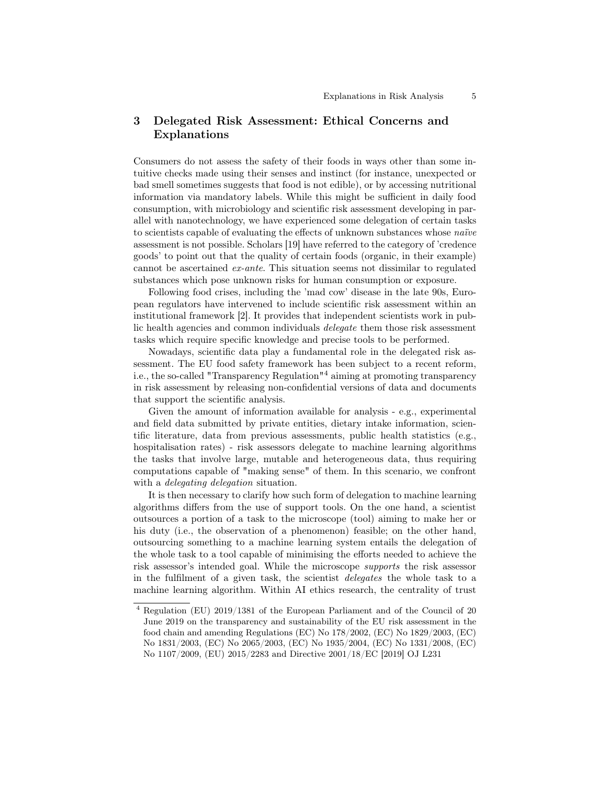# 3 Delegated Risk Assessment: Ethical Concerns and Explanations

Consumers do not assess the safety of their foods in ways other than some intuitive checks made using their senses and instinct (for instance, unexpected or bad smell sometimes suggests that food is not edible), or by accessing nutritional information via mandatory labels. While this might be sufficient in daily food consumption, with microbiology and scientific risk assessment developing in parallel with nanotechnology, we have experienced some delegation of certain tasks to scientists capable of evaluating the effects of unknown substances whose naïve assessment is not possible. Scholars [19] have referred to the category of 'credence goods' to point out that the quality of certain foods (organic, in their example) cannot be ascertained ex-ante. This situation seems not dissimilar to regulated substances which pose unknown risks for human consumption or exposure.

Following food crises, including the 'mad cow' disease in the late 90s, European regulators have intervened to include scientific risk assessment within an institutional framework [2]. It provides that independent scientists work in public health agencies and common individuals delegate them those risk assessment tasks which require specific knowledge and precise tools to be performed.

Nowadays, scientific data play a fundamental role in the delegated risk assessment. The EU food safety framework has been subject to a recent reform, i.e., the so-called "Transparency Regulation"<sup>4</sup> aiming at promoting transparency in risk assessment by releasing non-confidential versions of data and documents that support the scientific analysis.

Given the amount of information available for analysis - e.g., experimental and field data submitted by private entities, dietary intake information, scientific literature, data from previous assessments, public health statistics (e.g., hospitalisation rates) - risk assessors delegate to machine learning algorithms the tasks that involve large, mutable and heterogeneous data, thus requiring computations capable of "making sense" of them. In this scenario, we confront with a *delegating delegation* situation.

It is then necessary to clarify how such form of delegation to machine learning algorithms differs from the use of support tools. On the one hand, a scientist outsources a portion of a task to the microscope (tool) aiming to make her or his duty (i.e., the observation of a phenomenon) feasible; on the other hand, outsourcing something to a machine learning system entails the delegation of the whole task to a tool capable of minimising the efforts needed to achieve the risk assessor's intended goal. While the microscope supports the risk assessor in the fulfilment of a given task, the scientist delegates the whole task to a machine learning algorithm. Within AI ethics research, the centrality of trust

<sup>4</sup> Regulation (EU) 2019/1381 of the European Parliament and of the Council of 20 June 2019 on the transparency and sustainability of the EU risk assessment in the food chain and amending Regulations (EC) No 178/2002, (EC) No 1829/2003, (EC) No 1831/2003, (EC) No 2065/2003, (EC) No 1935/2004, (EC) No 1331/2008, (EC) No 1107/2009, (EU) 2015/2283 and Directive 2001/18/EC [2019] OJ L231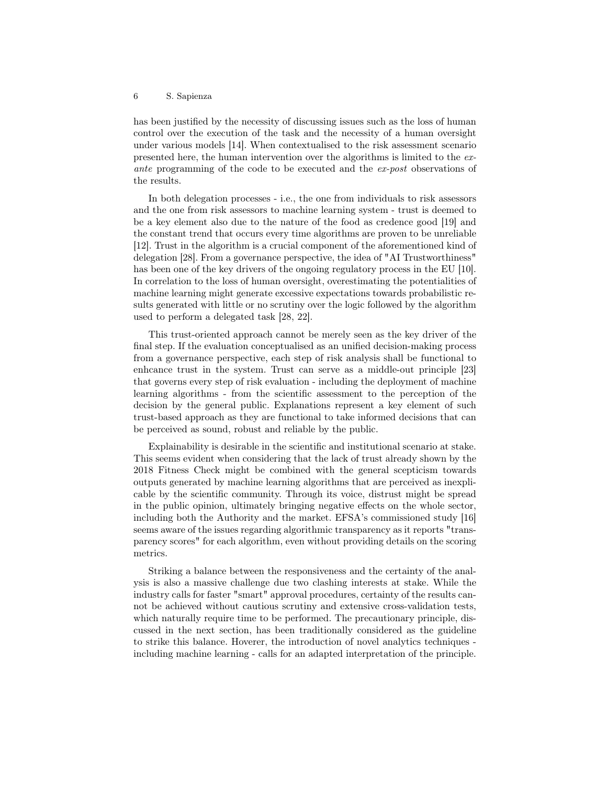has been justified by the necessity of discussing issues such as the loss of human control over the execution of the task and the necessity of a human oversight under various models [14]. When contextualised to the risk assessment scenario presented here, the human intervention over the algorithms is limited to the exante programming of the code to be executed and the ex-post observations of the results.

In both delegation processes - i.e., the one from individuals to risk assessors and the one from risk assessors to machine learning system - trust is deemed to be a key element also due to the nature of the food as credence good [19] and the constant trend that occurs every time algorithms are proven to be unreliable [12]. Trust in the algorithm is a crucial component of the aforementioned kind of delegation [28]. From a governance perspective, the idea of "AI Trustworthiness" has been one of the key drivers of the ongoing regulatory process in the EU [10]. In correlation to the loss of human oversight, overestimating the potentialities of machine learning might generate excessive expectations towards probabilistic results generated with little or no scrutiny over the logic followed by the algorithm used to perform a delegated task [28, 22].

This trust-oriented approach cannot be merely seen as the key driver of the final step. If the evaluation conceptualised as an unified decision-making process from a governance perspective, each step of risk analysis shall be functional to enhcance trust in the system. Trust can serve as a middle-out principle [23] that governs every step of risk evaluation - including the deployment of machine learning algorithms - from the scientific assessment to the perception of the decision by the general public. Explanations represent a key element of such trust-based approach as they are functional to take informed decisions that can be perceived as sound, robust and reliable by the public.

Explainability is desirable in the scientific and institutional scenario at stake. This seems evident when considering that the lack of trust already shown by the 2018 Fitness Check might be combined with the general scepticism towards outputs generated by machine learning algorithms that are perceived as inexplicable by the scientific community. Through its voice, distrust might be spread in the public opinion, ultimately bringing negative effects on the whole sector, including both the Authority and the market. EFSA's commissioned study [16] seems aware of the issues regarding algorithmic transparency as it reports "transparency scores" for each algorithm, even without providing details on the scoring metrics.

Striking a balance between the responsiveness and the certainty of the analysis is also a massive challenge due two clashing interests at stake. While the industry calls for faster "smart" approval procedures, certainty of the results cannot be achieved without cautious scrutiny and extensive cross-validation tests, which naturally require time to be performed. The precautionary principle, discussed in the next section, has been traditionally considered as the guideline to strike this balance. Hoverer, the introduction of novel analytics techniques including machine learning - calls for an adapted interpretation of the principle.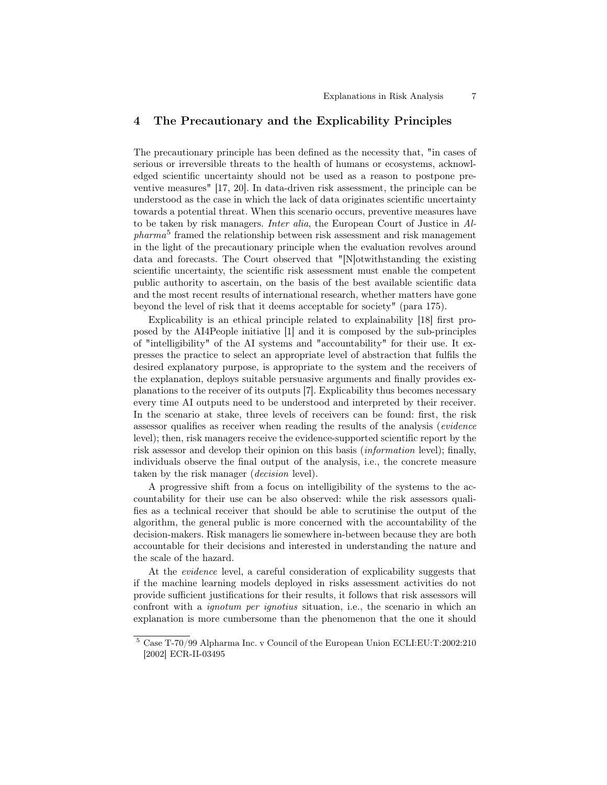# 4 The Precautionary and the Explicability Principles

The precautionary principle has been defined as the necessity that, "in cases of serious or irreversible threats to the health of humans or ecosystems, acknowledged scientific uncertainty should not be used as a reason to postpone preventive measures" [17, 20]. In data-driven risk assessment, the principle can be understood as the case in which the lack of data originates scientific uncertainty towards a potential threat. When this scenario occurs, preventive measures have to be taken by risk managers. Inter alia, the European Court of Justice in Al $pharma<sup>5</sup>$  framed the relationship between risk assessment and risk management in the light of the precautionary principle when the evaluation revolves around data and forecasts. The Court observed that "[N]otwithstanding the existing scientific uncertainty, the scientific risk assessment must enable the competent public authority to ascertain, on the basis of the best available scientific data and the most recent results of international research, whether matters have gone beyond the level of risk that it deems acceptable for society" (para 175).

Explicability is an ethical principle related to explainability [18] first proposed by the AI4People initiative [1] and it is composed by the sub-principles of "intelligibility" of the AI systems and "accountability" for their use. It expresses the practice to select an appropriate level of abstraction that fulfils the desired explanatory purpose, is appropriate to the system and the receivers of the explanation, deploys suitable persuasive arguments and finally provides explanations to the receiver of its outputs [7]. Explicability thus becomes necessary every time AI outputs need to be understood and interpreted by their receiver. In the scenario at stake, three levels of receivers can be found: first, the risk assessor qualifies as receiver when reading the results of the analysis (evidence level); then, risk managers receive the evidence-supported scientific report by the risk assessor and develop their opinion on this basis (information level); finally, individuals observe the final output of the analysis, i.e., the concrete measure taken by the risk manager (*decision* level).

A progressive shift from a focus on intelligibility of the systems to the accountability for their use can be also observed: while the risk assessors qualifies as a technical receiver that should be able to scrutinise the output of the algorithm, the general public is more concerned with the accountability of the decision-makers. Risk managers lie somewhere in-between because they are both accountable for their decisions and interested in understanding the nature and the scale of the hazard.

At the evidence level, a careful consideration of explicability suggests that if the machine learning models deployed in risks assessment activities do not provide sufficient justifications for their results, it follows that risk assessors will confront with a *ignotum per ignotius* situation, i.e., the scenario in which an explanation is more cumbersome than the phenomenon that the one it should

<sup>5</sup> Case T-70/99 Alpharma Inc. v Council of the European Union ECLI:EU:T:2002:210 [2002] ECR-II-03495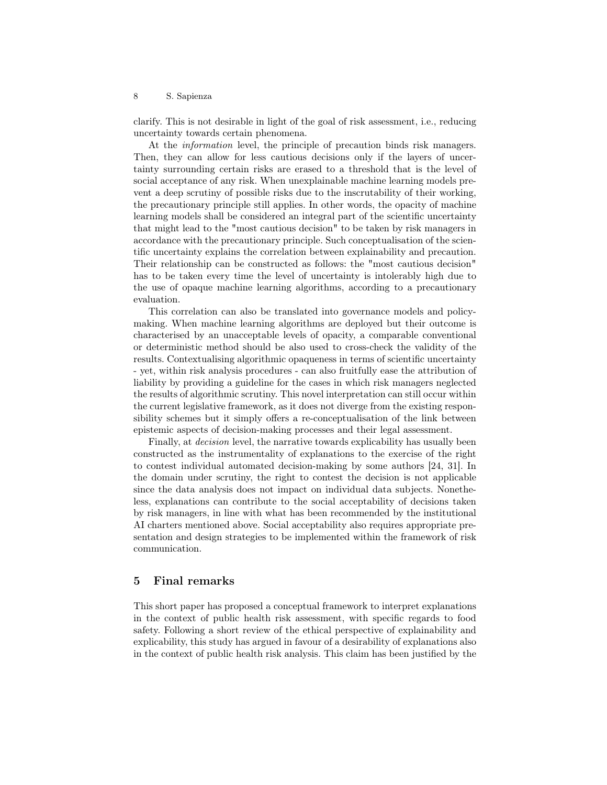clarify. This is not desirable in light of the goal of risk assessment, i.e., reducing uncertainty towards certain phenomena.

At the information level, the principle of precaution binds risk managers. Then, they can allow for less cautious decisions only if the layers of uncertainty surrounding certain risks are erased to a threshold that is the level of social acceptance of any risk. When unexplainable machine learning models prevent a deep scrutiny of possible risks due to the inscrutability of their working, the precautionary principle still applies. In other words, the opacity of machine learning models shall be considered an integral part of the scientific uncertainty that might lead to the "most cautious decision" to be taken by risk managers in accordance with the precautionary principle. Such conceptualisation of the scientific uncertainty explains the correlation between explainability and precaution. Their relationship can be constructed as follows: the "most cautious decision" has to be taken every time the level of uncertainty is intolerably high due to the use of opaque machine learning algorithms, according to a precautionary evaluation.

This correlation can also be translated into governance models and policymaking. When machine learning algorithms are deployed but their outcome is characterised by an unacceptable levels of opacity, a comparable conventional or deterministic method should be also used to cross-check the validity of the results. Contextualising algorithmic opaqueness in terms of scientific uncertainty - yet, within risk analysis procedures - can also fruitfully ease the attribution of liability by providing a guideline for the cases in which risk managers neglected the results of algorithmic scrutiny. This novel interpretation can still occur within the current legislative framework, as it does not diverge from the existing responsibility schemes but it simply offers a re-conceptualisation of the link between epistemic aspects of decision-making processes and their legal assessment.

Finally, at decision level, the narrative towards explicability has usually been constructed as the instrumentality of explanations to the exercise of the right to contest individual automated decision-making by some authors [24, 31]. In the domain under scrutiny, the right to contest the decision is not applicable since the data analysis does not impact on individual data subjects. Nonetheless, explanations can contribute to the social acceptability of decisions taken by risk managers, in line with what has been recommended by the institutional AI charters mentioned above. Social acceptability also requires appropriate presentation and design strategies to be implemented within the framework of risk communication.

### 5 Final remarks

This short paper has proposed a conceptual framework to interpret explanations in the context of public health risk assessment, with specific regards to food safety. Following a short review of the ethical perspective of explainability and explicability, this study has argued in favour of a desirability of explanations also in the context of public health risk analysis. This claim has been justified by the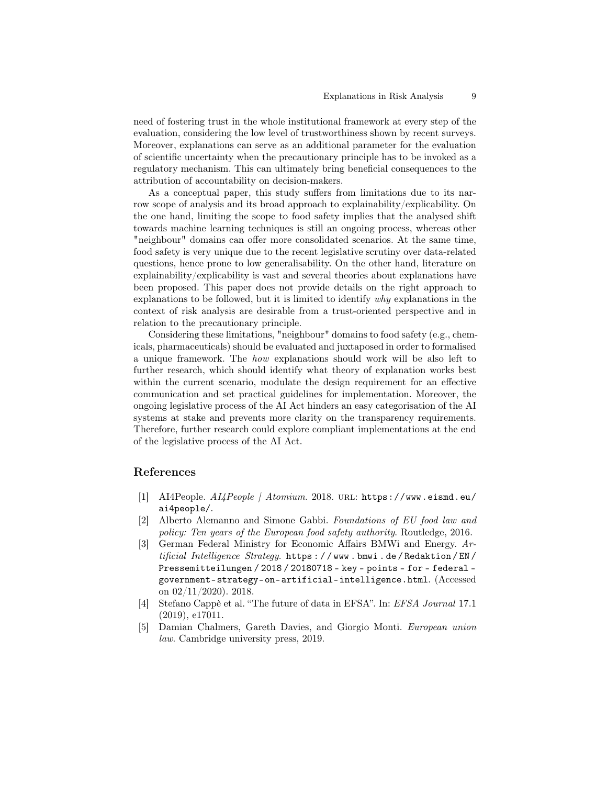need of fostering trust in the whole institutional framework at every step of the evaluation, considering the low level of trustworthiness shown by recent surveys. Moreover, explanations can serve as an additional parameter for the evaluation of scientific uncertainty when the precautionary principle has to be invoked as a regulatory mechanism. This can ultimately bring beneficial consequences to the attribution of accountability on decision-makers.

As a conceptual paper, this study suffers from limitations due to its narrow scope of analysis and its broad approach to explainability/explicability. On the one hand, limiting the scope to food safety implies that the analysed shift towards machine learning techniques is still an ongoing process, whereas other "neighbour" domains can offer more consolidated scenarios. At the same time, food safety is very unique due to the recent legislative scrutiny over data-related questions, hence prone to low generalisability. On the other hand, literature on explainability/explicability is vast and several theories about explanations have been proposed. This paper does not provide details on the right approach to explanations to be followed, but it is limited to identify why explanations in the context of risk analysis are desirable from a trust-oriented perspective and in relation to the precautionary principle.

Considering these limitations, "neighbour" domains to food safety (e.g., chemicals, pharmaceuticals) should be evaluated and juxtaposed in order to formalised a unique framework. The how explanations should work will be also left to further research, which should identify what theory of explanation works best within the current scenario, modulate the design requirement for an effective communication and set practical guidelines for implementation. Moreover, the ongoing legislative process of the AI Act hinders an easy categorisation of the AI systems at stake and prevents more clarity on the transparency requirements. Therefore, further research could explore compliant implementations at the end of the legislative process of the AI Act.

### References

- [1] AI4People. AI4People | Atomium. 2018. url: https://www.eismd.eu/ ai4people/.
- [2] Alberto Alemanno and Simone Gabbi. Foundations of EU food law and policy: Ten years of the European food safety authority. Routledge, 2016.
- [3] German Federal Ministry for Economic Affairs BMWi and Energy. Artificial Intelligence Strategy. https : / / www . bmwi . de / Redaktion / EN / Pressemitteilungen / 2018 / 20180718 - key - points - for - federal government-strategy-on-artificial-intelligence.html. (Accessed on 02/11/2020). 2018.
- [4] Stefano Cappè et al. "The future of data in EFSA". In: EFSA Journal 17.1 (2019), e17011.
- [5] Damian Chalmers, Gareth Davies, and Giorgio Monti. European union law. Cambridge university press, 2019.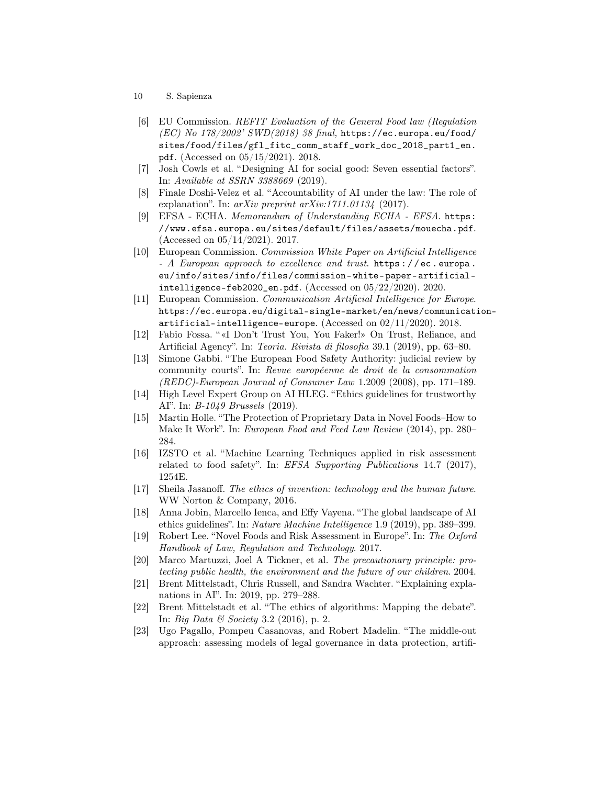- 10 S. Sapienza
- [6] EU Commission. REFIT Evaluation of the General Food law (Regulation  $(EC)$  No 178/2002' SWD $(2018)$  38 final, https://ec.europa.eu/food/ sites/food/files/gfl\_fitc\_comm\_staff\_work\_doc\_2018\_part1\_en. pdf. (Accessed on 05/15/2021). 2018.
- [7] Josh Cowls et al. "Designing AI for social good: Seven essential factors". In: Available at SSRN 3388669 (2019).
- [8] Finale Doshi-Velez et al. "Accountability of AI under the law: The role of explanation". In:  $arXiv$  preprint  $arXiv:1711.01134$  (2017).
- [9] EFSA ECHA. Memorandum of Understanding ECHA EFSA. https: //www.efsa.europa.eu/sites/default/files/assets/mouecha.pdf. (Accessed on 05/14/2021). 2017.
- [10] European Commission. Commission White Paper on Artificial Intelligence - A European approach to excellence and trust. https://ec.europa. eu/info/sites/info/files/commission- white- paper- artificialintelligence-feb2020\_en.pdf. (Accessed on 05/22/2020). 2020.
- [11] European Commission. Communication Artificial Intelligence for Europe. https://ec.europa.eu/digital-single-market/en/news/communicationartificial-intelligence-europe. (Accessed on  $02/11/2020$ ). 2018.
- [12] Fabio Fossa. "«I Don't Trust You, You Faker!» On Trust, Reliance, and Artificial Agency". In: Teoria. Rivista di filosofia 39.1 (2019), pp. 63–80.
- [13] Simone Gabbi. "The European Food Safety Authority: judicial review by community courts". In: Revue européenne de droit de la consommation (REDC)-European Journal of Consumer Law 1.2009 (2008), pp. 171–189.
- [14] High Level Expert Group on AI HLEG. "Ethics guidelines for trustworthy AI". In: B-1049 Brussels (2019).
- [15] Martin Holle. "The Protection of Proprietary Data in Novel Foods–How to Make It Work". In: European Food and Feed Law Review (2014), pp. 280– 284.
- [16] IZSTO et al. "Machine Learning Techniques applied in risk assessment related to food safety". In: EFSA Supporting Publications 14.7 (2017), 1254E.
- [17] Sheila Jasanoff. The ethics of invention: technology and the human future. WW Norton & Company, 2016.
- [18] Anna Jobin, Marcello Ienca, and Effy Vayena. "The global landscape of AI ethics guidelines". In: Nature Machine Intelligence 1.9 (2019), pp. 389–399.
- [19] Robert Lee. "Novel Foods and Risk Assessment in Europe". In: The Oxford Handbook of Law, Regulation and Technology. 2017.
- [20] Marco Martuzzi, Joel A Tickner, et al. The precautionary principle: protecting public health, the environment and the future of our children. 2004.
- [21] Brent Mittelstadt, Chris Russell, and Sandra Wachter. "Explaining explanations in AI". In: 2019, pp. 279–288.
- [22] Brent Mittelstadt et al. "The ethics of algorithms: Mapping the debate". In: Big Data & Society 3.2 (2016), p. 2.
- [23] Ugo Pagallo, Pompeu Casanovas, and Robert Madelin. "The middle-out approach: assessing models of legal governance in data protection, artifi-